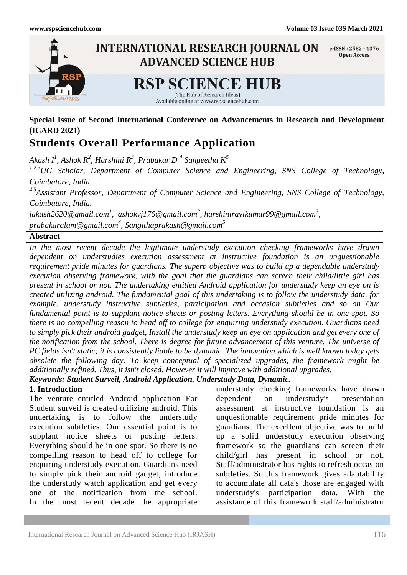

## **Special Issue of Second International Conference on Advancements in Research and Development (ICARD 2021)**

# **Students Overall Performance Application**

*Akash I<sup>1</sup> , Ashok R<sup>2</sup> , Harshini R<sup>3</sup> , Prabakar D <sup>4</sup> Sangeetha K<sup>5</sup>*

*1,2,3UG Scholar, Department of Computer Science and Engineering, SNS College of Technology, Coimbatore, India.* 

*4,5Assistant Professor, Department of Computer Science and Engineering, SNS College of Technology, Coimbatore, India.*

*[iakash2620@gmail.com](mailto:iakash2620@gmail.com1)<sup>1</sup> , [ashokvj176@gmail.com](mailto:%20ashokvj176@gmail.com2)<sup>2</sup> , [harshiniravikumar99@gmail.com](mailto:harshiniravikumar99@gmail.com3,%20prabakaralam@gmail.com4)<sup>3</sup> , [prabakaralam@gmail.com](mailto:harshiniravikumar99@gmail.com3,%20prabakaralam@gmail.com4)<sup>4</sup> , [Sangithaprakash@gmail.com](mailto:Sangithaprakash@gmail.com5)<sup>5</sup>*

### **Abstract**

*In the most recent decade the legitimate understudy execution checking frameworks have drawn dependent on understudies execution assessment at instructive foundation is an unquestionable requirement pride minutes for guardians. The superb objective was to build up a dependable understudy execution observing framework, with the goal that the guardians can screen their child/little girl has present in school or not. The undertaking entitled Android application for understudy keep an eye on is created utilizing android. The fundamental goal of this undertaking is to follow the understudy data, for example, understudy instructive subtleties, participation and occasion subtleties and so on Our fundamental point is to supplant notice sheets or posting letters. Everything should be in one spot. So there is no compelling reason to head off to college for enquiring understudy execution. Guardians need to simply pick their android gadget, Install the understudy keep an eye on application and get every one of the notification from the school. There is degree for future advancement of this venture. The universe of PC fields isn't static; it is consistently liable to be dynamic. The innovation which is well known today gets obsolete the following day. To keep conceptual of specialized upgrades, the framework might be additionally refined. Thus, it isn't closed. However it will improve with additional upgrades. Keywords: Student Surveil, Android Application, Understudy Data, Dynamic.*

### **1. Introduction**

The venture entitled Android application For Student surveil is created utilizing android. This undertaking is to follow the understudy execution subtleties. Our essential point is to supplant notice sheets or posting letters. Everything should be in one spot. So there is no compelling reason to head off to college for enquiring understudy execution. Guardians need to simply pick their android gadget, introduce the understudy watch application and get every one of the notification from the school. In the most recent decade the appropriate

understudy checking frameworks have drawn dependent on understudy's presentation assessment at instructive foundation is an unquestionable requirement pride minutes for guardians. The excellent objective was to build up a solid understudy execution observing framework so the guardians can screen their child/girl has present in school or not. Staff/administrator has rights to refresh occasion subtleties. So this framework gives adaptability to accumulate all data's those are engaged with understudy's participation data. With the assistance of this framework staff/administrator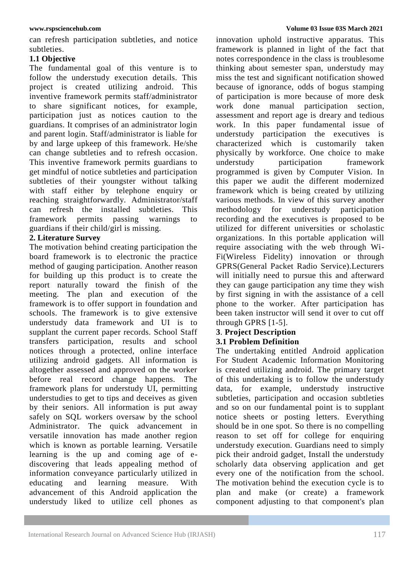can refresh participation subtleties, and notice subtleties.

## **1.1 Objective**

The fundamental goal of this venture is to follow the understudy execution details. This project is created utilizing android. This inventive framework permits staff/administrator to share significant notices, for example, participation just as notices caution to the guardians. It comprises of an administrator login and parent login. Staff/administrator is liable for by and large upkeep of this framework. He/she can change subtleties and to refresh occasion. This inventive framework permits guardians to get mindful of notice subtleties and participation subtleties of their youngster without talking with staff either by telephone enquiry or reaching straightforwardly. Administrator/staff can refresh the installed subtleties. This framework permits passing warnings to guardians if their child/girl is missing.

## **2. Literature Survey**

The motivation behind creating participation the board framework is to electronic the practice method of gauging participation. Another reason for building up this product is to create the report naturally toward the finish of the meeting. The plan and execution of the framework is to offer support in foundation and schools. The framework is to give extensive understudy data framework and UI is to supplant the current paper records. School Staff transfers participation, results and school notices through a protected, online interface utilizing android gadgets. All information is altogether assessed and approved on the worker before real record change happens. The framework plans for understudy UI, permitting understudies to get to tips and deceives as given by their seniors. All information is put away safely on SQL workers oversaw by the school Administrator. The quick advancement in versatile innovation has made another region which is known as portable learning. Versatile learning is the up and coming age of ediscovering that leads appealing method of information conveyance particularly utilized in educating and learning measure. With advancement of this Android application the understudy liked to utilize cell phones as

innovation uphold instructive apparatus. This framework is planned in light of the fact that notes correspondence in the class is troublesome thinking about semester span, understudy may miss the test and significant notification showed because of ignorance, odds of bogus stamping of participation is more because of more desk work done manual participation section, assessment and report age is dreary and tedious work. In this paper fundamental issue of understudy participation the executives is characterized which is customarily taken physically by workforce. One choice to make understudy participation framework programmed is given by Computer Vision. In this paper we audit the different modernized framework which is being created by utilizing various methods. In view of this survey another methodology for understudy participation recording and the executives is proposed to be utilized for different universities or scholastic organizations. In this portable application will require associating with the web through Wi-Fi(Wireless Fidelity) innovation or through GPRS(General Packet Radio Service).Lecturers will initially need to pursue this and afterward they can gauge participation any time they wish by first signing in with the assistance of a cell phone to the worker. After participation has been taken instructor will send it over to cut off through GPRS [1-5].

## **3**. **Project Description**

## **3.1 Problem Definition**

The undertaking entitled Android application For Student Academic Information Monitoring is created utilizing android. The primary target of this undertaking is to follow the understudy data, for example, understudy instructive subtleties, participation and occasion subtleties and so on our fundamental point is to supplant notice sheets or posting letters. Everything should be in one spot. So there is no compelling reason to set off for college for enquiring understudy execution. Guardians need to simply pick their android gadget, Install the understudy scholarly data observing application and get every one of the notification from the school. The motivation behind the execution cycle is to plan and make (or create) a framework component adjusting to that component's plan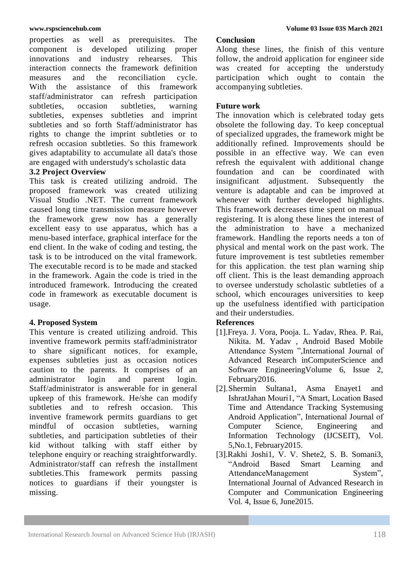properties as well as prerequisites. The component is developed utilizing proper innovations and industry rehearses. This interaction connects the framework definition measures and the reconciliation cycle. With the assistance of this framework staff/administrator can refresh participation subtleties, occasion subtleties, warning subtleties, expenses subtleties and imprint subtleties and so forth Staff/administrator has rights to change the imprint subtleties or to refresh occasion subtleties. So this framework gives adaptability to accumulate all data's those are engaged with understudy's scholastic data

## **3.2 Project Overview**

This task is created utilizing android. The proposed framework was created utilizing Visual Studio .NET. The current framework caused long time transmission measure however the framework grew now has a generally excellent easy to use apparatus, which has a menu-based interface, graphical interface for the end client. In the wake of coding and testing, the task is to be introduced on the vital framework. The executable record is to be made and stacked in the framework. Again the code is tried in the introduced framework. Introducing the created code in framework as executable document is usage.

## **4. Proposed System**

This venture is created utilizing android. This inventive framework permits staff/administrator to share significant notices, for example, expenses subtleties just as occasion notices caution to the parents. It comprises of an administrator login and parent login. Staff/administrator is answerable for in general upkeep of this framework. He/she can modify subtleties and to refresh occasion. This inventive framework permits guardians to get mindful of occasion subtleties, warning subtleties, and participation subtleties of their kid without talking with staff either by telephone enquiry or reaching straightforwardly. Administrator/staff can refresh the installment subtleties.This framework permits passing notices to guardians if their youngster is missing.

### **Conclusion**

Along these lines, the finish of this venture follow, the android application for engineer side was created for accepting the understudy participation which ought to contain the accompanying subtleties.

## **Future work**

The innovation which is celebrated today gets obsolete the following day. To keep conceptual of specialized upgrades, the framework might be additionally refined. Improvements should be possible in an effective way. We can even refresh the equivalent with additional change foundation and can be coordinated with insignificant adjustment. Subsequently the venture is adaptable and can be improved at whenever with further developed highlights. This framework decreases time spent on manual registering. It is along these lines the interest of the administration to have a mechanized framework. Handling the reports needs a ton of physical and mental work on the past work. The future improvement is test subtleties remember for this application. the test plan warning ship off client. This is the least demanding approach to oversee understudy scholastic subtleties of a school, which encourages universities to keep up the usefulness identified with participation and their understudies.

## **References**

- [1].Freya. J. Vora, Pooja. L. Yadav, Rhea. P. Rai, Nikita. M. Yadav , Android Based Mobile Attendance System ",International Journal of Advanced Research inComputerScience and Software EngineeringVolume 6, Issue 2, February2016.
- [2].Shermin Sultana1, Asma Enayet1 and IshratJahan Mouri1, "A Smart, Location Based Time and Attendance Tracking Systemusing Android Application", International Journal of Computer Science, Engineering and Information Technology (IJCSEIT), Vol. 5,No.1, February2015.
- [3].Rakhi Joshi1, V. V. Shete2, S. B. Somani3, "Android Based Smart Learning and AttendanceManagement System", International Journal of Advanced Research in Computer and Communication Engineering Vol. 4, Issue 6, June2015.